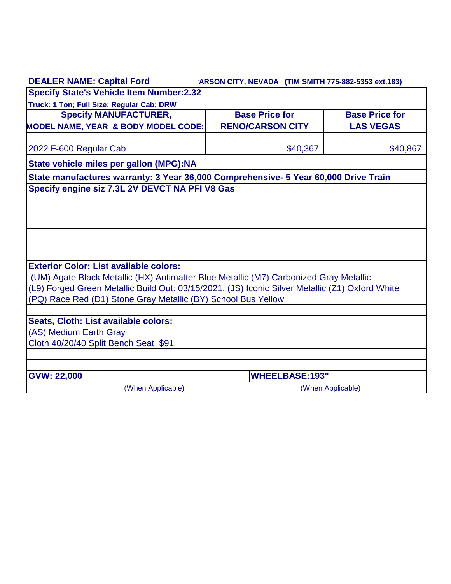| <b>DEALER NAME: Capital Ford</b>                                                                | ARSON CITY, NEVADA (TIM SMITH 775-882-5353 ext.183) |                       |  |
|-------------------------------------------------------------------------------------------------|-----------------------------------------------------|-----------------------|--|
| <b>Specify State's Vehicle Item Number:2.32</b>                                                 |                                                     |                       |  |
| Truck: 1 Ton; Full Size; Regular Cab; DRW                                                       |                                                     |                       |  |
| <b>Specify MANUFACTURER,</b>                                                                    | <b>Base Price for</b>                               | <b>Base Price for</b> |  |
| <b>MODEL NAME, YEAR &amp; BODY MODEL CODE:</b>                                                  | <b>RENO/CARSON CITY</b>                             | <b>LAS VEGAS</b>      |  |
| 2022 F-600 Regular Cab                                                                          | \$40,367                                            | \$40,867              |  |
| State vehicle miles per gallon (MPG):NA                                                         |                                                     |                       |  |
| State manufactures warranty: 3 Year 36,000 Comprehensive- 5 Year 60,000 Drive Train             |                                                     |                       |  |
| Specify engine siz 7.3L 2V DEVCT NA PFI V8 Gas                                                  |                                                     |                       |  |
|                                                                                                 |                                                     |                       |  |
|                                                                                                 |                                                     |                       |  |
|                                                                                                 |                                                     |                       |  |
|                                                                                                 |                                                     |                       |  |
|                                                                                                 |                                                     |                       |  |
| <b>Exterior Color: List available colors:</b>                                                   |                                                     |                       |  |
| (UM) Agate Black Metallic (HX) Antimatter Blue Metallic (M7) Carbonized Gray Metallic           |                                                     |                       |  |
| (L9) Forged Green Metallic Build Out: 03/15/2021. (JS) Iconic Silver Metallic (Z1) Oxford White |                                                     |                       |  |
| (PQ) Race Red (D1) Stone Gray Metallic (BY) School Bus Yellow                                   |                                                     |                       |  |
|                                                                                                 |                                                     |                       |  |
| Seats, Cloth: List available colors:                                                            |                                                     |                       |  |
| (AS) Medium Earth Gray                                                                          |                                                     |                       |  |
| Cloth 40/20/40 Split Bench Seat \$91                                                            |                                                     |                       |  |
|                                                                                                 |                                                     |                       |  |
|                                                                                                 |                                                     |                       |  |
| <b>GVW: 22,000</b>                                                                              | <b>WHEELBASE:193"</b>                               |                       |  |
| (When Applicable)                                                                               |                                                     | (When Applicable)     |  |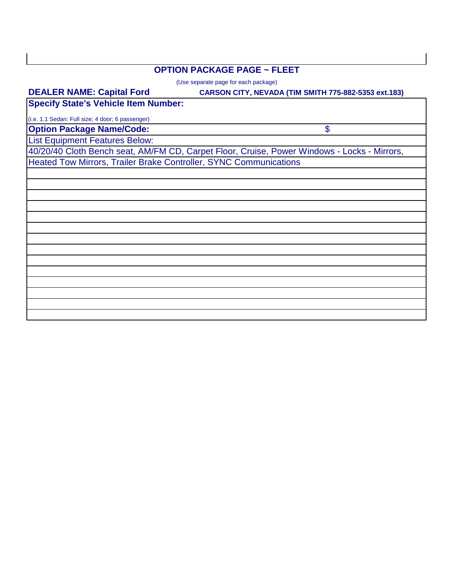#### **OPTION PACKAGE PAGE ~ FLEET**

(Use separate page for each package)

#### **CARSON CITY, NEVADA (TIM SMITH 775-882-5353 ext.183)**

\$

**Specify State's Vehicle Item Number:**

(i.e. 1.1 Sedan: Full size; 4 door; 6 passenger)

**DEALER NAME: Capital Ford** 

**Option Package Name/Code:**

List Equipment Features Below:

40/20/40 Cloth Bench seat, AM/FM CD, Carpet Floor, Cruise, Power Windows - Locks - Mirrors, Heated Tow Mirrors, Trailer Brake Controller, SYNC Communications